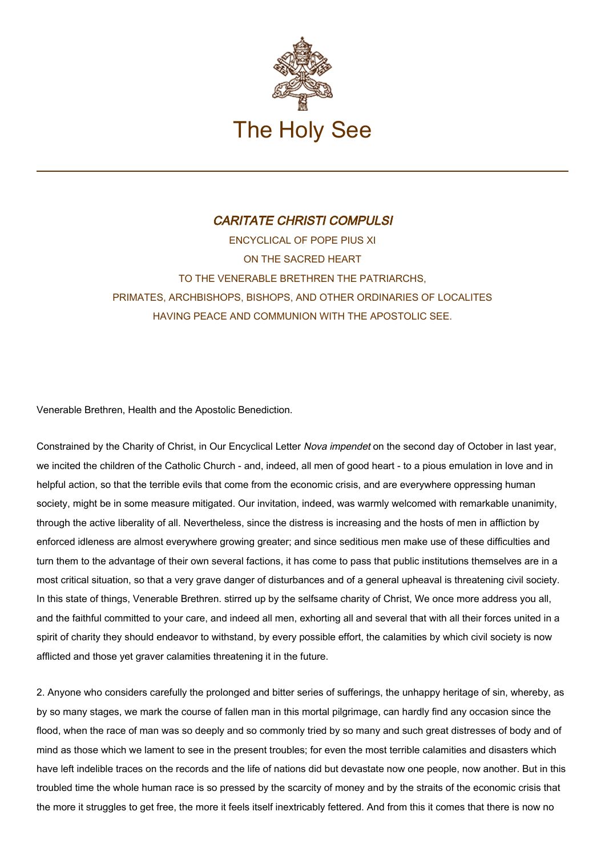

## CARITATE CHRISTI COMPULSI

ENCYCLICAL OF POPE PIUS XI ON THE SACRED HEART TO THE VENERABLE BRETHREN THE PATRIARCHS, PRIMATES, ARCHBISHOPS, BISHOPS, AND OTHER ORDINARIES OF LOCALITES HAVING PEACE AND COMMUNION WITH THE APOSTOLIC SEE.

Venerable Brethren, Health and the Apostolic Benediction.

Constrained by the Charity of Christ, in Our Encyclical Letter Nova impendet on the second day of October in last year, we incited the children of the Catholic Church - and, indeed, all men of good heart - to a pious emulation in love and in helpful action, so that the terrible evils that come from the economic crisis, and are everywhere oppressing human society, might be in some measure mitigated. Our invitation, indeed, was warmly welcomed with remarkable unanimity, through the active liberality of all. Nevertheless, since the distress is increasing and the hosts of men in affliction by enforced idleness are almost everywhere growing greater; and since seditious men make use of these difficulties and turn them to the advantage of their own several factions, it has come to pass that public institutions themselves are in a most critical situation, so that a very grave danger of disturbances and of a general upheaval is threatening civil society. In this state of things, Venerable Brethren. stirred up by the selfsame charity of Christ, We once more address you all, and the faithful committed to your care, and indeed all men, exhorting all and several that with all their forces united in a spirit of charity they should endeavor to withstand, by every possible effort, the calamities by which civil society is now afflicted and those yet graver calamities threatening it in the future.

2. Anyone who considers carefully the prolonged and bitter series of sufferings, the unhappy heritage of sin, whereby, as by so many stages, we mark the course of fallen man in this mortal pilgrimage, can hardly find any occasion since the flood, when the race of man was so deeply and so commonly tried by so many and such great distresses of body and of mind as those which we lament to see in the present troubles; for even the most terrible calamities and disasters which have left indelible traces on the records and the life of nations did but devastate now one people, now another. But in this troubled time the whole human race is so pressed by the scarcity of money and by the straits of the economic crisis that the more it struggles to get free, the more it feels itself inextricably fettered. And from this it comes that there is now no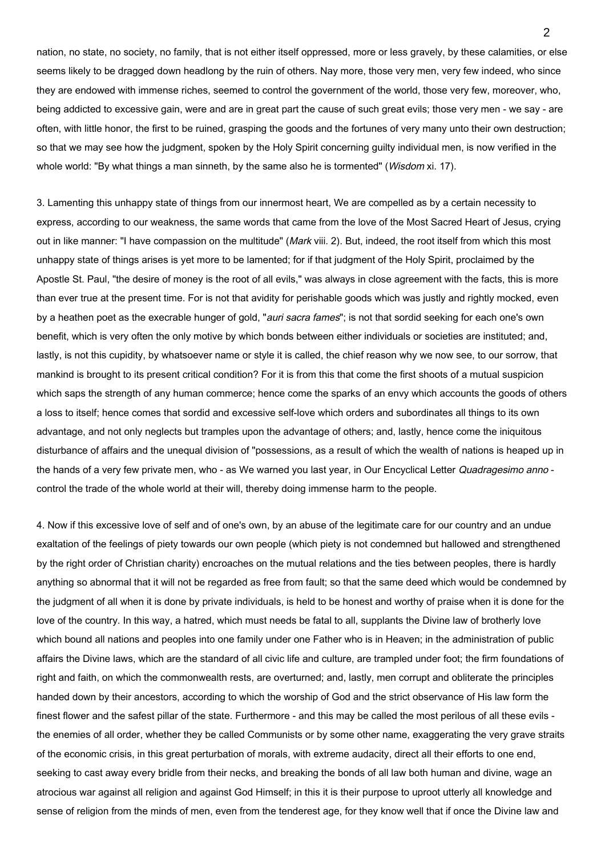nation, no state, no society, no family, that is not either itself oppressed, more or less gravely, by these calamities, or else seems likely to be dragged down headlong by the ruin of others. Nay more, those very men, very few indeed, who since they are endowed with immense riches, seemed to control the government of the world, those very few, moreover, who, being addicted to excessive gain, were and are in great part the cause of such great evils; those very men - we say - are often, with little honor, the first to be ruined, grasping the goods and the fortunes of very many unto their own destruction; so that we may see how the judgment, spoken by the Holy Spirit concerning guilty individual men, is now verified in the whole world: "By what things a man sinneth, by the same also he is tormented" (Wisdom xi. 17).

3. Lamenting this unhappy state of things from our innermost heart, We are compelled as by a certain necessity to express, according to our weakness, the same words that came from the love of the Most Sacred Heart of Jesus, crying out in like manner: "I have compassion on the multitude" (Mark viii. 2). But, indeed, the root itself from which this most unhappy state of things arises is yet more to be lamented; for if that judgment of the Holy Spirit, proclaimed by the Apostle St. Paul, "the desire of money is the root of all evils," was always in close agreement with the facts, this is more than ever true at the present time. For is not that avidity for perishable goods which was justly and rightly mocked, even by a heathen poet as the execrable hunger of gold, "*auri sacra fames*"; is not that sordid seeking for each one's own benefit, which is very often the only motive by which bonds between either individuals or societies are instituted; and, lastly, is not this cupidity, by whatsoever name or style it is called, the chief reason why we now see, to our sorrow, that mankind is brought to its present critical condition? For it is from this that come the first shoots of a mutual suspicion which saps the strength of any human commerce; hence come the sparks of an envy which accounts the goods of others a loss to itself; hence comes that sordid and excessive self-love which orders and subordinates all things to its own advantage, and not only neglects but tramples upon the advantage of others; and, lastly, hence come the iniquitous disturbance of affairs and the unequal division of "possessions, as a result of which the wealth of nations is heaped up in the hands of a very few private men, who - as We warned you last year, in Our Encyclical Letter Quadragesimo anno control the trade of the whole world at their will, thereby doing immense harm to the people.

4. Now if this excessive love of self and of one's own, by an abuse of the legitimate care for our country and an undue exaltation of the feelings of piety towards our own people (which piety is not condemned but hallowed and strengthened by the right order of Christian charity) encroaches on the mutual relations and the ties between peoples, there is hardly anything so abnormal that it will not be regarded as free from fault; so that the same deed which would be condemned by the judgment of all when it is done by private individuals, is held to be honest and worthy of praise when it is done for the love of the country. In this way, a hatred, which must needs be fatal to all, supplants the Divine law of brotherly love which bound all nations and peoples into one family under one Father who is in Heaven; in the administration of public affairs the Divine laws, which are the standard of all civic life and culture, are trampled under foot; the firm foundations of right and faith, on which the commonwealth rests, are overturned; and, lastly, men corrupt and obliterate the principles handed down by their ancestors, according to which the worship of God and the strict observance of His law form the finest flower and the safest pillar of the state. Furthermore - and this may be called the most perilous of all these evils the enemies of all order, whether they be called Communists or by some other name, exaggerating the very grave straits of the economic crisis, in this great perturbation of morals, with extreme audacity, direct all their efforts to one end, seeking to cast away every bridle from their necks, and breaking the bonds of all law both human and divine, wage an atrocious war against all religion and against God Himself; in this it is their purpose to uproot utterly all knowledge and sense of religion from the minds of men, even from the tenderest age, for they know well that if once the Divine law and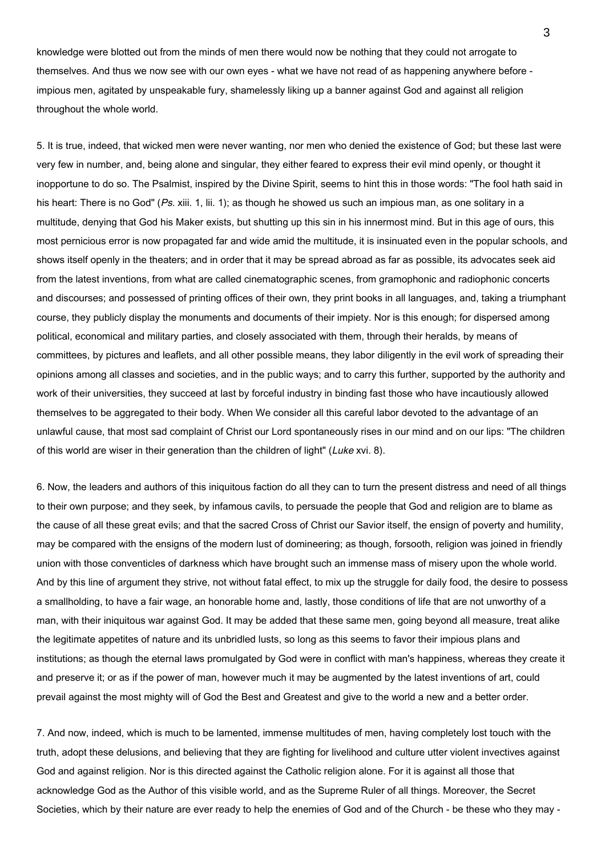knowledge were blotted out from the minds of men there would now be nothing that they could not arrogate to themselves. And thus we now see with our own eyes - what we have not read of as happening anywhere before impious men, agitated by unspeakable fury, shamelessly liking up a banner against God and against all religion throughout the whole world.

5. It is true, indeed, that wicked men were never wanting, nor men who denied the existence of God; but these last were very few in number, and, being alone and singular, they either feared to express their evil mind openly, or thought it inopportune to do so. The Psalmist, inspired by the Divine Spirit, seems to hint this in those words: "The fool hath said in his heart: There is no God" (Ps. xiii. 1, lii. 1); as though he showed us such an impious man, as one solitary in a multitude, denying that God his Maker exists, but shutting up this sin in his innermost mind. But in this age of ours, this most pernicious error is now propagated far and wide amid the multitude, it is insinuated even in the popular schools, and shows itself openly in the theaters; and in order that it may be spread abroad as far as possible, its advocates seek aid from the latest inventions, from what are called cinematographic scenes, from gramophonic and radiophonic concerts and discourses; and possessed of printing offices of their own, they print books in all languages, and, taking a triumphant course, they publicly display the monuments and documents of their impiety. Nor is this enough; for dispersed among political, economical and military parties, and closely associated with them, through their heralds, by means of committees, by pictures and leaflets, and all other possible means, they labor diligently in the evil work of spreading their opinions among all classes and societies, and in the public ways; and to carry this further, supported by the authority and work of their universities, they succeed at last by forceful industry in binding fast those who have incautiously allowed themselves to be aggregated to their body. When We consider all this careful labor devoted to the advantage of an unlawful cause, that most sad complaint of Christ our Lord spontaneously rises in our mind and on our lips: "The children of this world are wiser in their generation than the children of light" (Luke xvi. 8).

6. Now, the leaders and authors of this iniquitous faction do all they can to turn the present distress and need of all things to their own purpose; and they seek, by infamous cavils, to persuade the people that God and religion are to blame as the cause of all these great evils; and that the sacred Cross of Christ our Savior itself, the ensign of poverty and humility, may be compared with the ensigns of the modern lust of domineering; as though, forsooth, religion was joined in friendly union with those conventicles of darkness which have brought such an immense mass of misery upon the whole world. And by this line of argument they strive, not without fatal effect, to mix up the struggle for daily food, the desire to possess a smallholding, to have a fair wage, an honorable home and, lastly, those conditions of life that are not unworthy of a man, with their iniquitous war against God. It may be added that these same men, going beyond all measure, treat alike the legitimate appetites of nature and its unbridled lusts, so long as this seems to favor their impious plans and institutions; as though the eternal laws promulgated by God were in conflict with man's happiness, whereas they create it and preserve it; or as if the power of man, however much it may be augmented by the latest inventions of art, could prevail against the most mighty will of God the Best and Greatest and give to the world a new and a better order.

7. And now, indeed, which is much to be lamented, immense multitudes of men, having completely lost touch with the truth, adopt these delusions, and believing that they are fighting for livelihood and culture utter violent invectives against God and against religion. Nor is this directed against the Catholic religion alone. For it is against all those that acknowledge God as the Author of this visible world, and as the Supreme Ruler of all things. Moreover, the Secret Societies, which by their nature are ever ready to help the enemies of God and of the Church - be these who they may -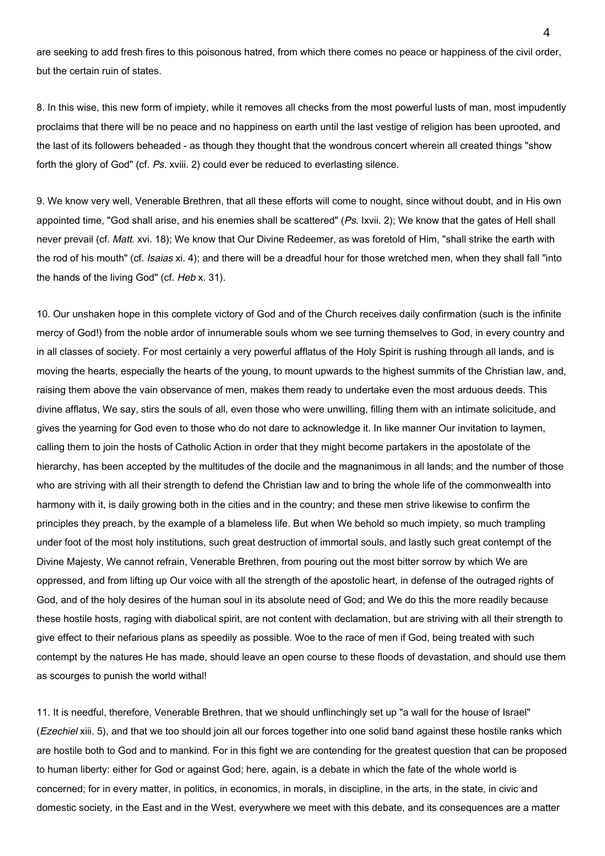are seeking to add fresh fires to this poisonous hatred, from which there comes no peace or happiness of the civil order, but the certain ruin of states.

8. In this wise, this new form of impiety, while it removes all checks from the most powerful lusts of man, most impudently proclaims that there will be no peace and no happiness on earth until the last vestige of religion has been uprooted, and the last of its followers beheaded - as though they thought that the wondrous concert wherein all created things "show forth the glory of God" (cf. Ps. xviii. 2) could ever be reduced to everlasting silence.

9. We know very well, Venerable Brethren, that all these efforts will come to nought, since without doubt, and in His own appointed time, "God shall arise, and his enemies shall be scattered" (Ps. Ixvii. 2); We know that the gates of Hell shall never prevail (cf. Matt. xvi. 18); We know that Our Divine Redeemer, as was foretold of Him, "shall strike the earth with the rod of his mouth" (cf. Isaias xi. 4); and there will be a dreadful hour for those wretched men, when they shall fall "into the hands of the living God" (cf. Heb x. 31).

10. Our unshaken hope in this complete victory of God and of the Church receives daily confirmation (such is the infinite mercy of God!) from the noble ardor of innumerable souls whom we see turning themselves to God, in every country and in all classes of society. For most certainly a very powerful afflatus of the Holy Spirit is rushing through all lands, and is moving the hearts, especially the hearts of the young, to mount upwards to the highest summits of the Christian law, and, raising them above the vain observance of men, makes them ready to undertake even the most arduous deeds. This divine afflatus, We say, stirs the souls of all, even those who were unwilling, filling them with an intimate solicitude, and gives the yearning for God even to those who do not dare to acknowledge it. In like manner Our invitation to laymen, calling them to join the hosts of Catholic Action in order that they might become partakers in the apostolate of the hierarchy, has been accepted by the multitudes of the docile and the magnanimous in all lands; and the number of those who are striving with all their strength to defend the Christian law and to bring the whole life of the commonwealth into harmony with it, is daily growing both in the cities and in the country; and these men strive likewise to confirm the principles they preach, by the example of a blameless life. But when We behold so much impiety, so much trampling under foot of the most holy institutions, such great destruction of immortal souls, and lastly such great contempt of the Divine Majesty, We cannot refrain, Venerable Brethren, from pouring out the most bitter sorrow by which We are oppressed, and from lifting up Our voice with all the strength of the apostolic heart, in defense of the outraged rights of God, and of the holy desires of the human soul in its absolute need of God; and We do this the more readily because these hostile hosts, raging with diabolical spirit, are not content with declamation, but are striving with all their strength to give effect to their nefarious plans as speedily as possible. Woe to the race of men if God, being treated with such contempt by the natures He has made, should leave an open course to these floods of devastation, and should use them as scourges to punish the world withal!

11. It is needful, therefore, Venerable Brethren, that we should unflinchingly set up "a wall for the house of Israel" (Ezechiel xiii. 5), and that we too should join all our forces together into one solid band against these hostile ranks which are hostile both to God and to mankind. For in this fight we are contending for the greatest question that can be proposed to human liberty: either for God or against God; here, again, is a debate in which the fate of the whole world is concerned; for in every matter, in politics, in economics, in morals, in discipline, in the arts, in the state, in civic and domestic society, in the East and in the West, everywhere we meet with this debate, and its consequences are a matter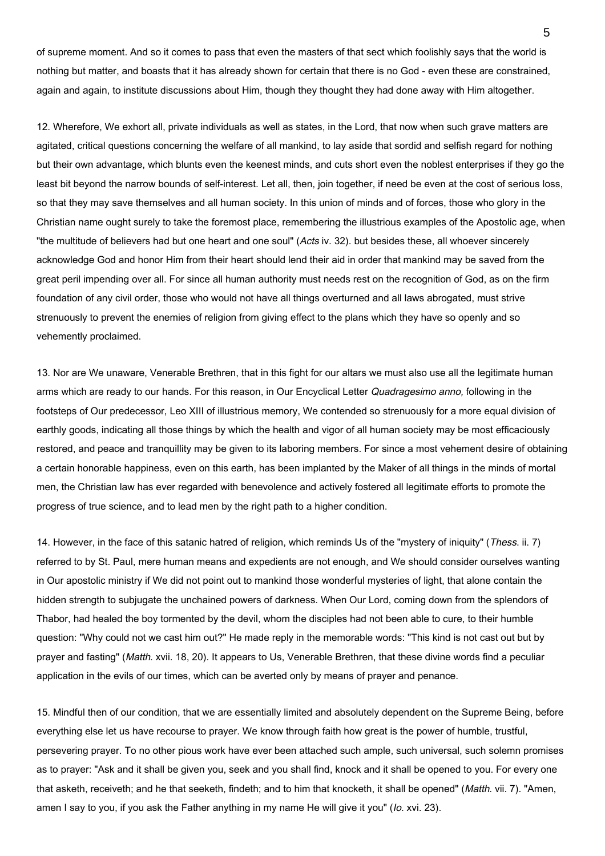of supreme moment. And so it comes to pass that even the masters of that sect which foolishly says that the world is nothing but matter, and boasts that it has already shown for certain that there is no God - even these are constrained, again and again, to institute discussions about Him, though they thought they had done away with Him altogether.

12. Wherefore, We exhort all, private individuals as well as states, in the Lord, that now when such grave matters are agitated, critical questions concerning the welfare of all mankind, to lay aside that sordid and selfish regard for nothing but their own advantage, which blunts even the keenest minds, and cuts short even the noblest enterprises if they go the least bit beyond the narrow bounds of self-interest. Let all, then, join together, if need be even at the cost of serious loss, so that they may save themselves and all human society. In this union of minds and of forces, those who glory in the Christian name ought surely to take the foremost place, remembering the illustrious examples of the Apostolic age, when "the multitude of believers had but one heart and one soul" (Acts iv. 32). but besides these, all whoever sincerely acknowledge God and honor Him from their heart should lend their aid in order that mankind may be saved from the great peril impending over all. For since all human authority must needs rest on the recognition of God, as on the firm foundation of any civil order, those who would not have all things overturned and all laws abrogated, must strive strenuously to prevent the enemies of religion from giving effect to the plans which they have so openly and so vehemently proclaimed.

13. Nor are We unaware, Venerable Brethren, that in this fight for our altars we must also use all the legitimate human arms which are ready to our hands. For this reason, in Our Encyclical Letter Quadragesimo anno, following in the footsteps of Our predecessor, Leo XIII of illustrious memory, We contended so strenuously for a more equal division of earthly goods, indicating all those things by which the health and vigor of all human society may be most efficaciously restored, and peace and tranquillity may be given to its laboring members. For since a most vehement desire of obtaining a certain honorable happiness, even on this earth, has been implanted by the Maker of all things in the minds of mortal men, the Christian law has ever regarded with benevolence and actively fostered all legitimate efforts to promote the progress of true science, and to lead men by the right path to a higher condition.

14. However, in the face of this satanic hatred of religion, which reminds Us of the "mystery of iniquity" (Thess. ii. 7) referred to by St. Paul, mere human means and expedients are not enough, and We should consider ourselves wanting in Our apostolic ministry if We did not point out to mankind those wonderful mysteries of light, that alone contain the hidden strength to subjugate the unchained powers of darkness. When Our Lord, coming down from the splendors of Thabor, had healed the boy tormented by the devil, whom the disciples had not been able to cure, to their humble question: "Why could not we cast him out?" He made reply in the memorable words: "This kind is not cast out but by prayer and fasting" (Matth. xvii. 18, 20). It appears to Us, Venerable Brethren, that these divine words find a peculiar application in the evils of our times, which can be averted only by means of prayer and penance.

15. Mindful then of our condition, that we are essentially limited and absolutely dependent on the Supreme Being, before everything else let us have recourse to prayer. We know through faith how great is the power of humble, trustful, persevering prayer. To no other pious work have ever been attached such ample, such universal, such solemn promises as to prayer: "Ask and it shall be given you, seek and you shall find, knock and it shall be opened to you. For every one that asketh, receiveth; and he that seeketh, findeth; and to him that knocketh, it shall be opened" (Matth. vii. 7). "Amen, amen I say to you, if you ask the Father anything in my name He will give it you" (lo. xvi. 23).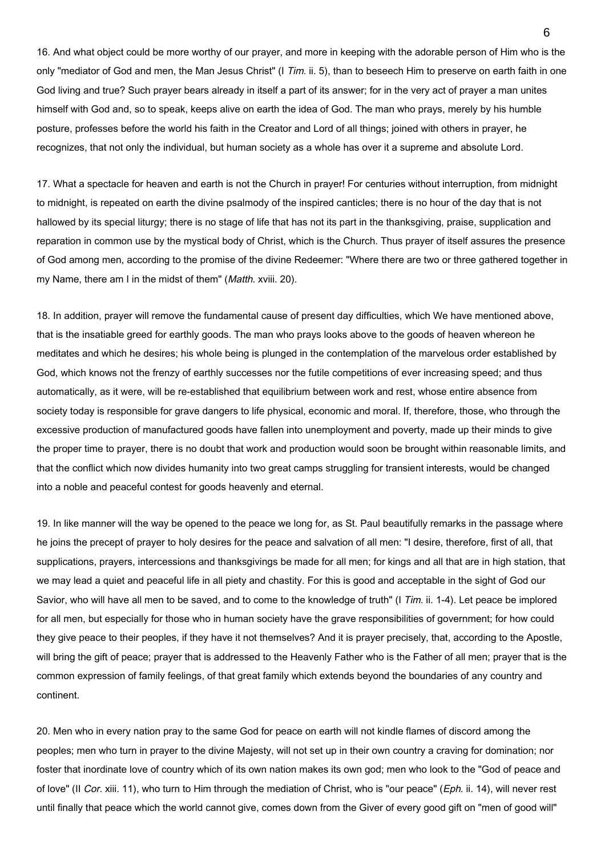16. And what object could be more worthy of our prayer, and more in keeping with the adorable person of Him who is the only "mediator of God and men, the Man Jesus Christ" (I Tim. ii. 5), than to beseech Him to preserve on earth faith in one God living and true? Such prayer bears already in itself a part of its answer; for in the very act of prayer a man unites himself with God and, so to speak, keeps alive on earth the idea of God. The man who prays, merely by his humble posture, professes before the world his faith in the Creator and Lord of all things; joined with others in prayer, he recognizes, that not only the individual, but human society as a whole has over it a supreme and absolute Lord.

17. What a spectacle for heaven and earth is not the Church in prayer! For centuries without interruption, from midnight to midnight, is repeated on earth the divine psalmody of the inspired canticles; there is no hour of the day that is not hallowed by its special liturgy; there is no stage of life that has not its part in the thanksgiving, praise, supplication and reparation in common use by the mystical body of Christ, which is the Church. Thus prayer of itself assures the presence of God among men, according to the promise of the divine Redeemer: "Where there are two or three gathered together in my Name, there am I in the midst of them" (Matth. xviii. 20).

18. In addition, prayer will remove the fundamental cause of present day difficulties, which We have mentioned above, that is the insatiable greed for earthly goods. The man who prays looks above to the goods of heaven whereon he meditates and which he desires; his whole being is plunged in the contemplation of the marvelous order established by God, which knows not the frenzy of earthly successes nor the futile competitions of ever increasing speed; and thus automatically, as it were, will be re-established that equilibrium between work and rest, whose entire absence from society today is responsible for grave dangers to life physical, economic and moral. If, therefore, those, who through the excessive production of manufactured goods have fallen into unemployment and poverty, made up their minds to give the proper time to prayer, there is no doubt that work and production would soon be brought within reasonable limits, and that the conflict which now divides humanity into two great camps struggling for transient interests, would be changed into a noble and peaceful contest for goods heavenly and eternal.

19. In like manner will the way be opened to the peace we long for, as St. Paul beautifully remarks in the passage where he joins the precept of prayer to holy desires for the peace and salvation of all men: "I desire, therefore, first of all, that supplications, prayers, intercessions and thanksgivings be made for all men; for kings and all that are in high station, that we may lead a quiet and peaceful life in all piety and chastity. For this is good and acceptable in the sight of God our Savior, who will have all men to be saved, and to come to the knowledge of truth" (I Tim. ii. 1-4). Let peace be implored for all men, but especially for those who in human society have the grave responsibilities of government; for how could they give peace to their peoples, if they have it not themselves? And it is prayer precisely, that, according to the Apostle, will bring the gift of peace; prayer that is addressed to the Heavenly Father who is the Father of all men; prayer that is the common expression of family feelings, of that great family which extends beyond the boundaries of any country and continent.

20. Men who in every nation pray to the same God for peace on earth will not kindle flames of discord among the peoples; men who turn in prayer to the divine Majesty, will not set up in their own country a craving for domination; nor foster that inordinate love of country which of its own nation makes its own god; men who look to the "God of peace and of love" (II Cor. xiii. 11), who turn to Him through the mediation of Christ, who is "our peace" (Eph. ii. 14), will never rest until finally that peace which the world cannot give, comes down from the Giver of every good gift on "men of good will"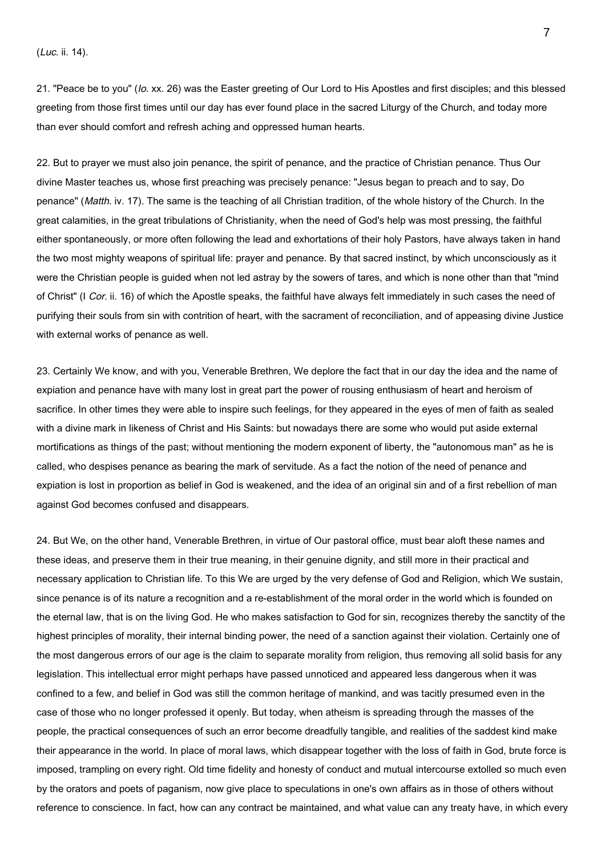## (Luc. ii. 14).

21. "Peace be to you" (Io. xx. 26) was the Easter greeting of Our Lord to His Apostles and first disciples; and this blessed greeting from those first times until our day has ever found place in the sacred Liturgy of the Church, and today more than ever should comfort and refresh aching and oppressed human hearts.

22. But to prayer we must also join penance, the spirit of penance, and the practice of Christian penance. Thus Our divine Master teaches us, whose first preaching was precisely penance: "Jesus began to preach and to say, Do penance" (Matth. iv. 17). The same is the teaching of all Christian tradition, of the whole history of the Church. In the great calamities, in the great tribulations of Christianity, when the need of God's help was most pressing, the faithful either spontaneously, or more often following the lead and exhortations of their holy Pastors, have always taken in hand the two most mighty weapons of spiritual life: prayer and penance. By that sacred instinct, by which unconsciously as it were the Christian people is guided when not led astray by the sowers of tares, and which is none other than that "mind of Christ" (I Cor. ii. 16) of which the Apostle speaks, the faithful have always felt immediately in such cases the need of purifying their souls from sin with contrition of heart, with the sacrament of reconciliation, and of appeasing divine Justice with external works of penance as well.

23. Certainly We know, and with you, Venerable Brethren, We deplore the fact that in our day the idea and the name of expiation and penance have with many lost in great part the power of rousing enthusiasm of heart and heroism of sacrifice. In other times they were able to inspire such feelings, for they appeared in the eyes of men of faith as sealed with a divine mark in likeness of Christ and His Saints: but nowadays there are some who would put aside external mortifications as things of the past; without mentioning the modern exponent of liberty, the "autonomous man" as he is called, who despises penance as bearing the mark of servitude. As a fact the notion of the need of penance and expiation is lost in proportion as belief in God is weakened, and the idea of an original sin and of a first rebellion of man against God becomes confused and disappears.

24. But We, on the other hand, Venerable Brethren, in virtue of Our pastoral office, must bear aloft these names and these ideas, and preserve them in their true meaning, in their genuine dignity, and still more in their practical and necessary application to Christian life. To this We are urged by the very defense of God and Religion, which We sustain, since penance is of its nature a recognition and a re-establishment of the moral order in the world which is founded on the eternal law, that is on the living God. He who makes satisfaction to God for sin, recognizes thereby the sanctity of the highest principles of morality, their internal binding power, the need of a sanction against their violation. Certainly one of the most dangerous errors of our age is the claim to separate morality from religion, thus removing all solid basis for any legislation. This intellectual error might perhaps have passed unnoticed and appeared less dangerous when it was confined to a few, and belief in God was still the common heritage of mankind, and was tacitly presumed even in the case of those who no longer professed it openly. But today, when atheism is spreading through the masses of the people, the practical consequences of such an error become dreadfully tangible, and realities of the saddest kind make their appearance in the world. In place of moral laws, which disappear together with the loss of faith in God, brute force is imposed, trampling on every right. Old time fidelity and honesty of conduct and mutual intercourse extolled so much even by the orators and poets of paganism, now give place to speculations in one's own affairs as in those of others without reference to conscience. In fact, how can any contract be maintained, and what value can any treaty have, in which every

7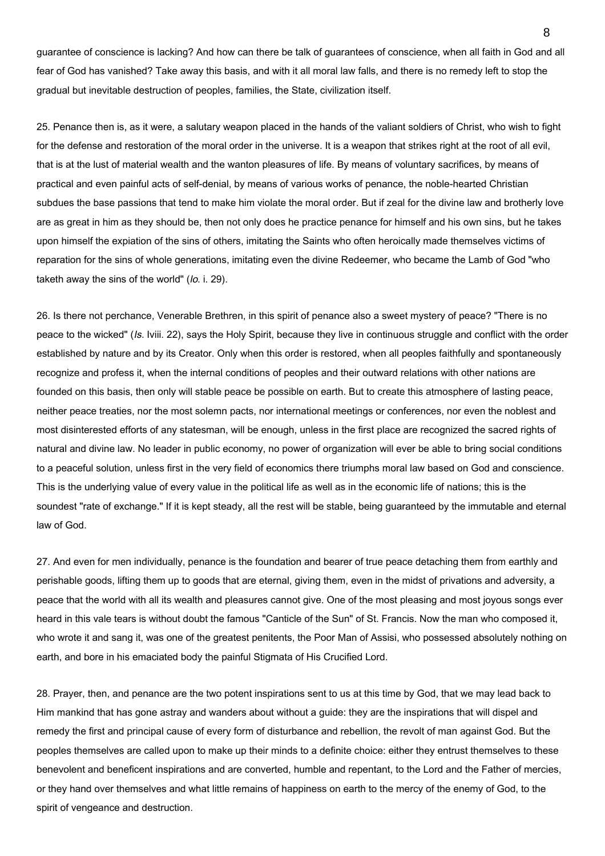guarantee of conscience is lacking? And how can there be talk of guarantees of conscience, when all faith in God and all fear of God has vanished? Take away this basis, and with it all moral law falls, and there is no remedy left to stop the gradual but inevitable destruction of peoples, families, the State, civilization itself.

25. Penance then is, as it were, a salutary weapon placed in the hands of the valiant soldiers of Christ, who wish to fight for the defense and restoration of the moral order in the universe. It is a weapon that strikes right at the root of all evil, that is at the lust of material wealth and the wanton pleasures of life. By means of voluntary sacrifices, by means of practical and even painful acts of self-denial, by means of various works of penance, the noble-hearted Christian subdues the base passions that tend to make him violate the moral order. But if zeal for the divine law and brotherly love are as great in him as they should be, then not only does he practice penance for himself and his own sins, but he takes upon himself the expiation of the sins of others, imitating the Saints who often heroically made themselves victims of reparation for the sins of whole generations, imitating even the divine Redeemer, who became the Lamb of God "who taketh away the sins of the world" (lo. i. 29).

26. Is there not perchance, Venerable Brethren, in this spirit of penance also a sweet mystery of peace? "There is no peace to the wicked" (Is. Iviii. 22), says the Holy Spirit, because they live in continuous struggle and conflict with the order established by nature and by its Creator. Only when this order is restored, when all peoples faithfully and spontaneously recognize and profess it, when the internal conditions of peoples and their outward relations with other nations are founded on this basis, then only will stable peace be possible on earth. But to create this atmosphere of lasting peace, neither peace treaties, nor the most solemn pacts, nor international meetings or conferences, nor even the noblest and most disinterested efforts of any statesman, will be enough, unless in the first place are recognized the sacred rights of natural and divine law. No leader in public economy, no power of organization will ever be able to bring social conditions to a peaceful solution, unless first in the very field of economics there triumphs moral law based on God and conscience. This is the underlying value of every value in the political life as well as in the economic life of nations; this is the soundest "rate of exchange." If it is kept steady, all the rest will be stable, being guaranteed by the immutable and eternal law of God.

27. And even for men individually, penance is the foundation and bearer of true peace detaching them from earthly and perishable goods, lifting them up to goods that are eternal, giving them, even in the midst of privations and adversity, a peace that the world with all its wealth and pleasures cannot give. One of the most pleasing and most joyous songs ever heard in this vale tears is without doubt the famous "Canticle of the Sun" of St. Francis. Now the man who composed it, who wrote it and sang it, was one of the greatest penitents, the Poor Man of Assisi, who possessed absolutely nothing on earth, and bore in his emaciated body the painful Stigmata of His Crucified Lord.

28. Prayer, then, and penance are the two potent inspirations sent to us at this time by God, that we may lead back to Him mankind that has gone astray and wanders about without a guide: they are the inspirations that will dispel and remedy the first and principal cause of every form of disturbance and rebellion, the revolt of man against God. But the peoples themselves are called upon to make up their minds to a definite choice: either they entrust themselves to these benevolent and beneficent inspirations and are converted, humble and repentant, to the Lord and the Father of mercies, or they hand over themselves and what little remains of happiness on earth to the mercy of the enemy of God, to the spirit of vengeance and destruction.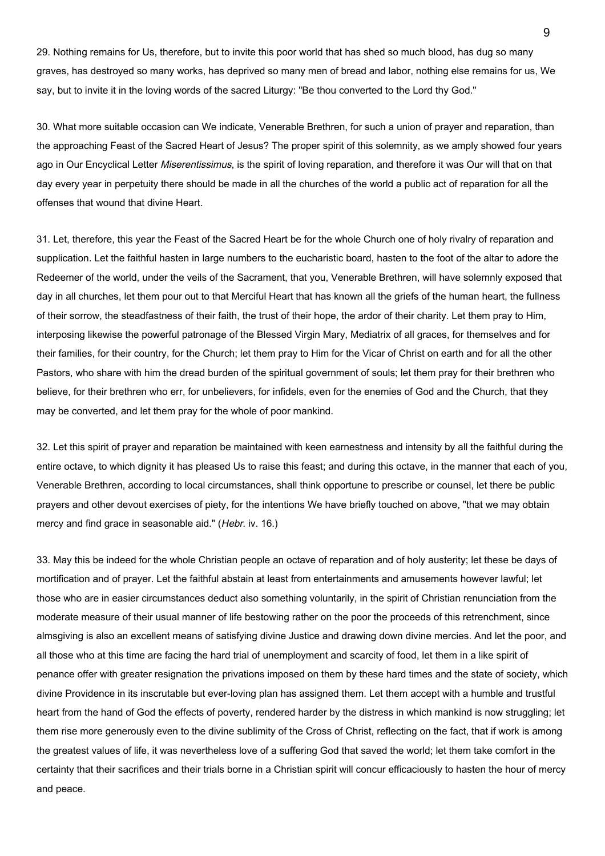29. Nothing remains for Us, therefore, but to invite this poor world that has shed so much blood, has dug so many graves, has destroyed so many works, has deprived so many men of bread and labor, nothing else remains for us, We say, but to invite it in the loving words of the sacred Liturgy: "Be thou converted to the Lord thy God."

30. What more suitable occasion can We indicate, Venerable Brethren, for such a union of prayer and reparation, than the approaching Feast of the Sacred Heart of Jesus? The proper spirit of this solemnity, as we amply showed four years ago in Our Encyclical Letter Miserentissimus, is the spirit of loving reparation, and therefore it was Our will that on that day every year in perpetuity there should be made in all the churches of the world a public act of reparation for all the offenses that wound that divine Heart.

31. Let, therefore, this year the Feast of the Sacred Heart be for the whole Church one of holy rivalry of reparation and supplication. Let the faithful hasten in large numbers to the eucharistic board, hasten to the foot of the altar to adore the Redeemer of the world, under the veils of the Sacrament, that you, Venerable Brethren, will have solemnly exposed that day in all churches, let them pour out to that Merciful Heart that has known all the griefs of the human heart, the fullness of their sorrow, the steadfastness of their faith, the trust of their hope, the ardor of their charity. Let them pray to Him, interposing likewise the powerful patronage of the Blessed Virgin Mary, Mediatrix of all graces, for themselves and for their families, for their country, for the Church; let them pray to Him for the Vicar of Christ on earth and for all the other Pastors, who share with him the dread burden of the spiritual government of souls; let them pray for their brethren who believe, for their brethren who err, for unbelievers, for infidels, even for the enemies of God and the Church, that they may be converted, and let them pray for the whole of poor mankind.

32. Let this spirit of prayer and reparation be maintained with keen earnestness and intensity by all the faithful during the entire octave, to which dignity it has pleased Us to raise this feast; and during this octave, in the manner that each of you, Venerable Brethren, according to local circumstances, shall think opportune to prescribe or counsel, let there be public prayers and other devout exercises of piety, for the intentions We have briefly touched on above, "that we may obtain mercy and find grace in seasonable aid." (Hebr. iv. 16.)

33. May this be indeed for the whole Christian people an octave of reparation and of holy austerity; let these be days of mortification and of prayer. Let the faithful abstain at least from entertainments and amusements however lawful; let those who are in easier circumstances deduct also something voluntarily, in the spirit of Christian renunciation from the moderate measure of their usual manner of life bestowing rather on the poor the proceeds of this retrenchment, since almsgiving is also an excellent means of satisfying divine Justice and drawing down divine mercies. And let the poor, and all those who at this time are facing the hard trial of unemployment and scarcity of food, let them in a like spirit of penance offer with greater resignation the privations imposed on them by these hard times and the state of society, which divine Providence in its inscrutable but ever-loving plan has assigned them. Let them accept with a humble and trustful heart from the hand of God the effects of poverty, rendered harder by the distress in which mankind is now struggling; let them rise more generously even to the divine sublimity of the Cross of Christ, reflecting on the fact, that if work is among the greatest values of life, it was nevertheless love of a suffering God that saved the world; let them take comfort in the certainty that their sacrifices and their trials borne in a Christian spirit will concur efficaciously to hasten the hour of mercy and peace.